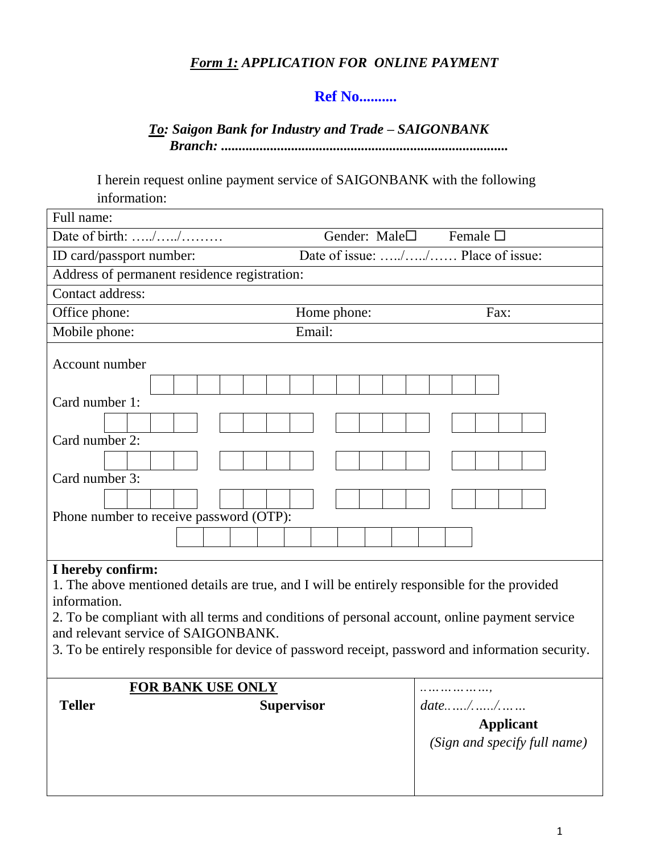# *Form 1: APPLICATION FOR ONLINE PAYMENT*

## **Ref No..........**

### *To: Saigon Bank for Industry and Trade – SAIGONBANK Branch: ..................................................................................*

I herein request online payment service of SAIGONBANK with the following information:

| Full name:                                                                                                                                                                                                                                                                                                                                                                   |                        |                                                  |
|------------------------------------------------------------------------------------------------------------------------------------------------------------------------------------------------------------------------------------------------------------------------------------------------------------------------------------------------------------------------------|------------------------|--------------------------------------------------|
| Date of birth: //                                                                                                                                                                                                                                                                                                                                                            | Gender: Male $\square$ | Female $\square$                                 |
| Date of issue: // Place of issue:<br>ID card/passport number:                                                                                                                                                                                                                                                                                                                |                        |                                                  |
| Address of permanent residence registration:                                                                                                                                                                                                                                                                                                                                 |                        |                                                  |
| Contact address:                                                                                                                                                                                                                                                                                                                                                             |                        |                                                  |
| Office phone:                                                                                                                                                                                                                                                                                                                                                                | Home phone:            | Fax:                                             |
| Mobile phone:                                                                                                                                                                                                                                                                                                                                                                | Email:                 |                                                  |
| Account number                                                                                                                                                                                                                                                                                                                                                               |                        |                                                  |
| Card number 1:                                                                                                                                                                                                                                                                                                                                                               |                        |                                                  |
|                                                                                                                                                                                                                                                                                                                                                                              |                        |                                                  |
| Card number 2:                                                                                                                                                                                                                                                                                                                                                               |                        |                                                  |
| Card number 3:                                                                                                                                                                                                                                                                                                                                                               |                        |                                                  |
|                                                                                                                                                                                                                                                                                                                                                                              |                        |                                                  |
| Phone number to receive password (OTP):                                                                                                                                                                                                                                                                                                                                      |                        |                                                  |
|                                                                                                                                                                                                                                                                                                                                                                              |                        |                                                  |
| I hereby confirm:<br>1. The above mentioned details are true, and I will be entirely responsible for the provided<br>information.<br>2. To be compliant with all terms and conditions of personal account, online payment service<br>and relevant service of SAIGONBANK.<br>3. To be entirely responsible for device of password receipt, password and information security. |                        |                                                  |
|                                                                                                                                                                                                                                                                                                                                                                              |                        |                                                  |
| <b>Teller</b>                                                                                                                                                                                                                                                                                                                                                                |                        | <b>Applicant</b><br>(Sign and specify full name) |
| <b>FOR BANK USE ONLY</b><br>.<br><b>Supervisor</b>                                                                                                                                                                                                                                                                                                                           |                        |                                                  |